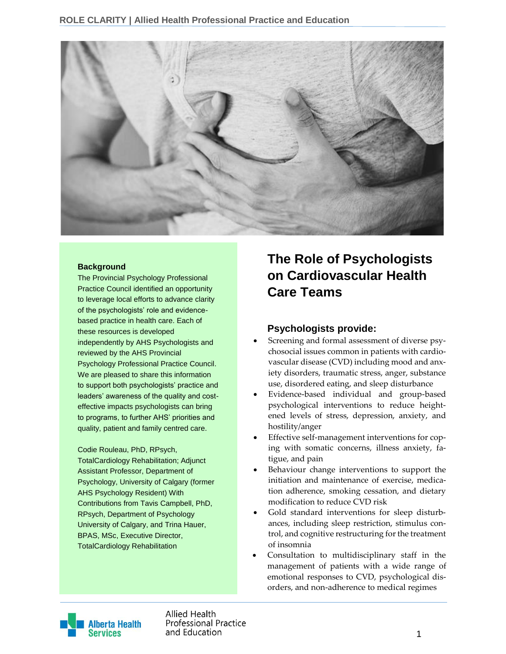

#### **Background**

The Provincial Psychology Professional Practice Council identified an opportunity to leverage local efforts to advance clarity of the psychologists' role and evidencebased practice in health care. Each of these resources is developed independently by AHS Psychologists and reviewed by the AHS Provincial Psychology Professional Practice Council. We are pleased to share this information to support both psychologists' practice and leaders' awareness of the quality and costeffective impacts psychologists can bring to programs, to further AHS' priorities and quality, patient and family centred care.

Codie Rouleau, PhD, RPsych, TotalCardiology Rehabilitation; Adjunct Assistant Professor, Department of Psychology, University of Calgary (former AHS Psychology Resident) With Contributions from Tavis Campbell, PhD, RPsych, Department of Psychology University of Calgary, and Trina Hauer, BPAS, MSc, Executive Director, TotalCardiology Rehabilitation

# **The Role of Psychologists on Cardiovascular Health Care Teams**

### **Psychologists provide:**

- Screening and formal assessment of diverse psychosocial issues common in patients with cardiovascular disease (CVD) including mood and anxiety disorders, traumatic stress, anger, substance use, disordered eating, and sleep disturbance
- Evidence-based individual and group-based psychological interventions to reduce heightened levels of stress, depression, anxiety, and hostility/anger
- Effective self-management interventions for coping with somatic concerns, illness anxiety, fatigue, and pain
- Behaviour change interventions to support the initiation and maintenance of exercise, medication adherence, smoking cessation, and dietary modification to reduce CVD risk
- Gold standard interventions for sleep disturbances, including sleep restriction, stimulus control, and cognitive restructuring for the treatment of insomnia
- Consultation to multidisciplinary staff in the management of patients with a wide range of emotional responses to CVD, psychological disorders, and non-adherence to medical regimes



Allied Health **Professional Practice** and Education and Education and Education and Education and Education and The Contract of the Contract of the C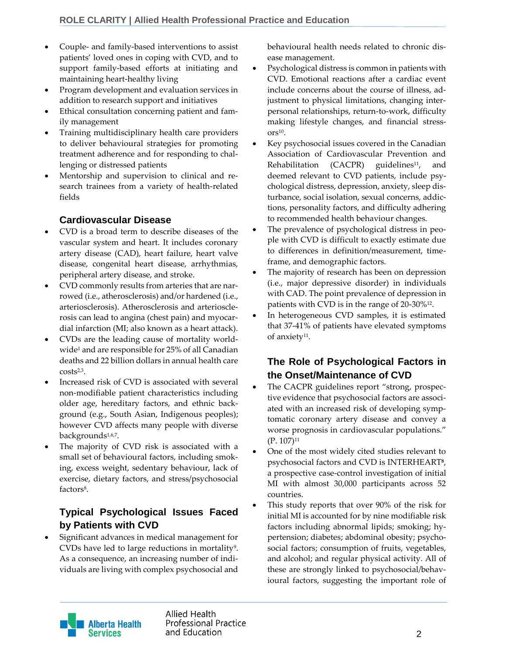- Couple- and family-based interventions to assist patients' loved ones in coping with CVD, and to support family-based efforts at initiating and maintaining heart-healthy living
- Program development and evaluation services in addition to research support and initiatives
- Ethical consultation concerning patient and family management
- Training multidisciplinary health care providers to deliver behavioural strategies for promoting treatment adherence and for responding to challenging or distressed patients
- Mentorship and supervision to clinical and research trainees from a variety of health-related fields

## **Cardiovascular Disease**

- CVD is a broad term to describe diseases of the vascular system and heart. It includes coronary artery disease (CAD), heart failure, heart valve disease, congenital heart disease, arrhythmias, peripheral artery disease, and stroke.
- CVD commonly results from arteries that are narrowed (i.e., atherosclerosis) and/or hardened (i.e., arteriosclerosis). Atherosclerosis and arteriosclerosis can lead to angina (chest pain) and myocardial infarction (MI; also known as a heart attack).
- CVDs are the leading cause of mortality worldwide<sup>1</sup> and are responsible for 25% of all Canadian deaths and 22 billion dollars in annual health care  $costs<sup>2,3</sup>$ .
- Increased risk of CVD is associated with several non-modifiable patient characteristics including older age, hereditary factors, and ethnic background (e.g., South Asian, Indigenous peoples); however CVD affects many people with diverse backgrounds<sup>1,6,7</sup>.
- The majority of CVD risk is associated with a small set of behavioural factors, including smoking, excess weight, sedentary behaviour, lack of exercise, dietary factors, and stress/psychosocial factors<sup>8</sup> .

## **Typical Psychological Issues Faced by Patients with CVD**

 Significant advances in medical management for CVDs have led to large reductions in mortality<sup>9</sup>. As a consequence, an increasing number of individuals are living with complex psychosocial and

behavioural health needs related to chronic disease management.

- Psychological distress is common in patients with CVD. Emotional reactions after a cardiac event include concerns about the course of illness, adjustment to physical limitations, changing interpersonal relationships, return-to-work, difficulty making lifestyle changes, and financial stress $ors<sup>10</sup>$ .
- Key psychosocial issues covered in the Canadian Association of Cardiovascular Prevention and Rehabilitation  $(CACPR)$  guidelines<sup>11</sup>, and deemed relevant to CVD patients, include psychological distress, depression, anxiety, sleep disturbance, social isolation, sexual concerns, addictions, personality factors, and difficulty adhering to recommended health behaviour changes.
- The prevalence of psychological distress in people with CVD is difficult to exactly estimate due to differences in definition/measurement, timeframe, and demographic factors.
- The majority of research has been on depression (i.e., major depressive disorder) in individuals with CAD. The point prevalence of depression in patients with CVD is in the range of 20-30%<sup>12</sup> .
- In heterogeneous CVD samples, it is estimated that 37-41% of patients have elevated symptoms of anxiety<sup>11</sup>.

## **The Role of Psychological Factors in the Onset/Maintenance of CVD**

- The CACPR guidelines report "strong, prospective evidence that psychosocial factors are associated with an increased risk of developing symptomatic coronary artery disease and convey a worse prognosis in cardiovascular populations." (P. 107) 11
- One of the most widely cited studies relevant to psychosocial factors and CVD is INTERHEART**<sup>8</sup>** , a prospective case-control investigation of initial MI with almost 30,000 participants across 52 countries.
- This study reports that over 90% of the risk for initial MI is accounted for by nine modifiable risk factors including abnormal lipids; smoking; hypertension; diabetes; abdominal obesity; psychosocial factors; consumption of fruits, vegetables, and alcohol; and regular physical activity. All of these are strongly linked to psychosocial/behavioural factors, suggesting the important role of

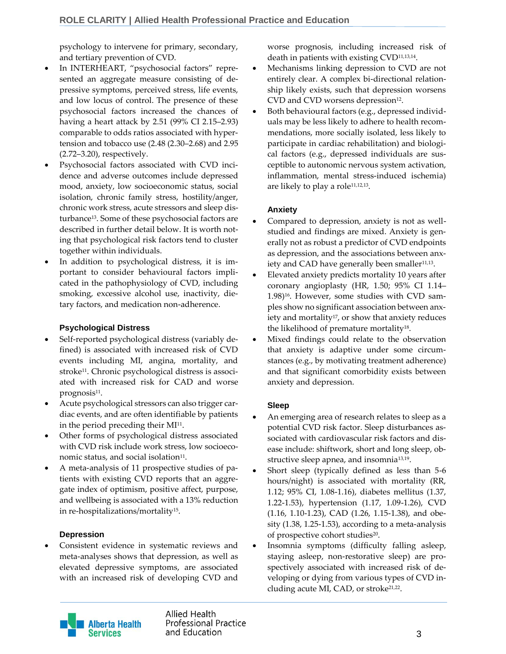psychology to intervene for primary, secondary, and tertiary prevention of CVD.

- In INTERHEART, "psychosocial factors" represented an aggregate measure consisting of depressive symptoms, perceived stress, life events, and low locus of control. The presence of these psychosocial factors increased the chances of having a heart attack by 2.51 (99% CI 2.15–2.93) comparable to odds ratios associated with hypertension and tobacco use (2.48 (2.30–2.68) and 2.95 (2.72–3.20), respectively.
- Psychosocial factors associated with CVD incidence and adverse outcomes include depressed mood, anxiety, low socioeconomic status, social isolation, chronic family stress, hostility/anger, chronic work stress, acute stressors and sleep disturbance<sup>13</sup> . Some of these psychosocial factors are described in further detail below. It is worth noting that psychological risk factors tend to cluster together within individuals.
- In addition to psychological distress, it is important to consider behavioural factors implicated in the pathophysiology of CVD, including smoking, excessive alcohol use, inactivity, dietary factors, and medication non-adherence.

#### **Psychological Distress**

- Self-reported psychological distress (variably defined) is associated with increased risk of CVD events including MI, angina, mortality, and stroke<sup>11</sup> . Chronic psychological distress is associated with increased risk for CAD and worse prognosis<sup>11</sup>.
- Acute psychological stressors can also trigger cardiac events, and are often identifiable by patients in the period preceding their MI $^{\scriptscriptstyle 11}$ .
- Other forms of psychological distress associated with CVD risk include work stress, low socioeconomic status, and social isolation<sup>11</sup>.
- A meta-analysis of 11 prospective studies of patients with existing CVD reports that an aggregate index of optimism, positive affect, purpose, and wellbeing is associated with a 13% reduction in re-hospitalizations/mortality<sup>15</sup> .

#### **Depression**

 Consistent evidence in systematic reviews and meta-analyses shows that depression, as well as elevated depressive symptoms, are associated with an increased risk of developing CVD and worse prognosis, including increased risk of death in patients with existing CVD11,13,14 .

- Mechanisms linking depression to CVD are not entirely clear. A complex bi-directional relationship likely exists, such that depression worsens  $CVD$  and  $CVD$  worsens depression $^{12}$ .
- Both behavioural factors (e.g., depressed individuals may be less likely to adhere to health recommendations, more socially isolated, less likely to participate in cardiac rehabilitation) and biological factors (e.g., depressed individuals are susceptible to autonomic nervous system activation, inflammation, mental stress-induced ischemia) are likely to play a role<sup>11,12,13</sup>.

### **Anxiety**

- Compared to depression, anxiety is not as wellstudied and findings are mixed. Anxiety is generally not as robust a predictor of CVD endpoints as depression, and the associations between anxiety and CAD have generally been smaller11,13 .
- Elevated anxiety predicts mortality 10 years after coronary angioplasty (HR, 1.50; 95% CI 1.14– 1.98)16. However, some studies with CVD samples show no significant association between anxiety and mortality<sup>17</sup>, or show that anxiety reduces the likelihood of premature mortality<sup>18</sup> .
- Mixed findings could relate to the observation that anxiety is adaptive under some circumstances (e.g., by motivating treatment adherence) and that significant comorbidity exists between anxiety and depression.

### **Sleep**

- An emerging area of research relates to sleep as a potential CVD risk factor. Sleep disturbances associated with cardiovascular risk factors and disease include: shiftwork, short and long sleep, obstructive sleep apnea, and insomnia13,19 .
- Short sleep (typically defined as less than 5-6 hours/night) is associated with mortality (RR, 1.12; 95% CI, 1.08-1.16), diabetes mellitus (1.37, 1.22-1.53), hypertension (1.17, 1.09-1.26), CVD (1.16, 1.10-1.23), CAD (1.26, 1.15-1.38), and obesity (1.38, 1.25-1.53), according to a meta-analysis of prospective cohort studies<sup>20</sup>.
- Insomnia symptoms (difficulty falling asleep, staying asleep, non-restorative sleep) are prospectively associated with increased risk of developing or dying from various types of CVD including acute MI, CAD, or stroke21,22 .

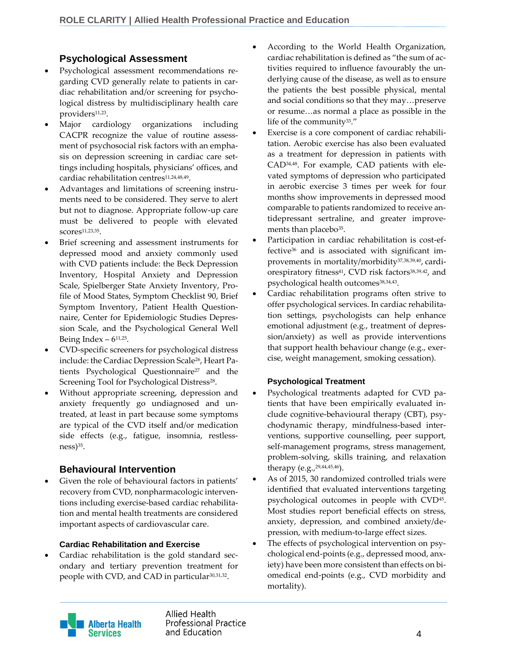## **Psychological Assessment**

- Psychological assessment recommendations regarding CVD generally relate to patients in cardiac rehabilitation and/or screening for psychological distress by multidisciplinary health care providers<sup>11,23</sup>.
- Major cardiology organizations including CACPR recognize the value of routine assessment of psychosocial risk factors with an emphasis on depression screening in cardiac care settings including hospitals, physicians' offices, and cardiac rehabilitation centres<sup>11,24,48,49</sup>.
- Advantages and limitations of screening instruments need to be considered. They serve to alert but not to diagnose. Appropriate follow-up care must be delivered to people with elevated scores11,23,35 .
- Brief screening and assessment instruments for depressed mood and anxiety commonly used with CVD patients include: the Beck Depression Inventory, Hospital Anxiety and Depression Scale, Spielberger State Anxiety Inventory, Profile of Mood States, Symptom Checklist 90, Brief Symptom Inventory, Patient Health Questionnaire, Center for Epidemiologic Studies Depression Scale, and the Psychological General Well Being Index – 611,25<sub>.</sub>
- CVD-specific screeners for psychological distress include: the Cardiac Depression Scale26, Heart Patients Psychological Questionnaire<sup>27</sup> and the Screening Tool for Psychological Distress<sup>28</sup>.
- Without appropriate screening, depression and anxiety frequently go undiagnosed and untreated, at least in part because some symptoms are typical of the CVD itself and/or medication side effects (e.g., fatigue, insomnia, restlessness)<sup>35</sup> .

## **Behavioural Intervention**

 Given the role of behavioural factors in patients' recovery from CVD, nonpharmacologic interventions including exercise-based cardiac rehabilitation and mental health treatments are considered important aspects of cardiovascular care.

### **Cardiac Rehabilitation and Exercise**

 Cardiac rehabilitation is the gold standard secondary and tertiary prevention treatment for people with CVD, and CAD in particular30,31,32 .

- According to the World Health Organization, cardiac rehabilitation is defined as "the sum of activities required to influence favourably the underlying cause of the disease, as well as to ensure the patients the best possible physical, mental and social conditions so that they may…preserve or resume…as normal a place as possible in the life of the community<sup>33</sup>."
- Exercise is a core component of cardiac rehabilitation. Aerobic exercise has also been evaluated as a treatment for depression in patients with CAD34,48 . For example, CAD patients with elevated symptoms of depression who participated in aerobic exercise 3 times per week for four months show improvements in depressed mood comparable to patients randomized to receive antidepressant sertraline, and greater improvements than placebo<sup>35</sup>.
- Participation in cardiac rehabilitation is cost-effective<sup>36</sup> and is associated with significant improvements in mortality/morbidity37,38,39,40 , cardiorespiratory fitness<sup>41</sup>, CVD risk factors<sup>38,39,42</sup>, and psychological health outcomes<sup>38,34,43</sup>.
- Cardiac rehabilitation programs often strive to offer psychological services. In cardiac rehabilitation settings, psychologists can help enhance emotional adjustment (e.g., treatment of depression/anxiety) as well as provide interventions that support health behaviour change (e.g., exercise, weight management, smoking cessation).

### **Psychological Treatment**

- Psychological treatments adapted for CVD patients that have been empirically evaluated include cognitive-behavioural therapy (CBT), psychodynamic therapy, mindfulness-based interventions, supportive counselling, peer support, self-management programs, stress management, problem-solving, skills training, and relaxation therapy (e.g.,  $29,44,45,46$ ).
- As of 2015, 30 randomized controlled trials were identified that evaluated interventions targeting psychological outcomes in people with CVD<sup>45</sup> . Most studies report beneficial effects on stress, anxiety, depression, and combined anxiety/depression, with medium-to-large effect sizes.
- The effects of psychological intervention on psychological end-points (e.g., depressed mood, anxiety) have been more consistent than effects on biomedical end-points (e.g., CVD morbidity and mortality).



Allied Health **Professional Practice** and Education and Equation and Equation and Equation and Equation and Equation and A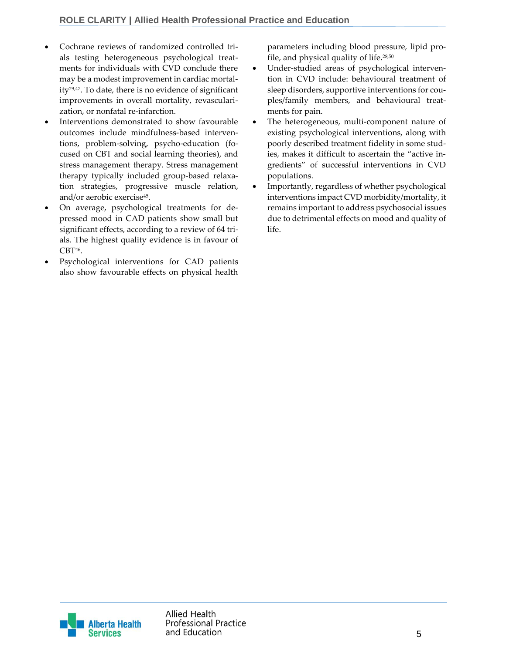- Cochrane reviews of randomized controlled trials testing heterogeneous psychological treatments for individuals with CVD conclude there may be a modest improvement in cardiac mortality29,47. To date, there is no evidence of significant improvements in overall mortality, revascularization, or nonfatal re-infarction.
- Interventions demonstrated to show favourable outcomes include mindfulness-based interventions, problem-solving, psycho-education (focused on CBT and social learning theories), and stress management therapy. Stress management therapy typically included group-based relaxation strategies, progressive muscle relation, and/or aerobic exercise<sup>45</sup> .
- On average, psychological treatments for depressed mood in CAD patients show small but significant effects, according to a review of 64 trials. The highest quality evidence is in favour of  $CBT<sup>46</sup>$ .
- Psychological interventions for CAD patients also show favourable effects on physical health

parameters including blood pressure, lipid profile, and physical quality of life. 28,50

- Under-studied areas of psychological intervention in CVD include: behavioural treatment of sleep disorders, supportive interventions for couples/family members, and behavioural treatments for pain.
- The heterogeneous, multi-component nature of existing psychological interventions, along with poorly described treatment fidelity in some studies, makes it difficult to ascertain the "active ingredients" of successful interventions in CVD populations.
- Importantly, regardless of whether psychological interventions impact CVD morbidity/mortality, it remains important to address psychosocial issues due to detrimental effects on mood and quality of life.

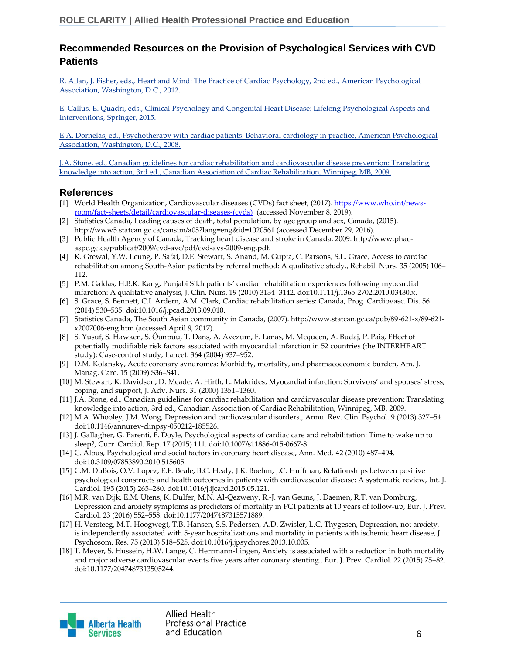## **Recommended Resources on the Provision of Psychological Services with CVD Patients**

R. Allan, J. Fisher, eds., Heart and Mind: The Practice of Cardiac Psychology, 2nd ed., American Psychological Association, Washington, D.C., 2012.

E. Callus, E. Quadri, eds., Clinical Psychology and Congenital Heart Disease: Lifelong Psychological Aspects and Interventions, Springer, 2015.

E.A. Dornelas, ed., Psychotherapy with cardiac patients: Behavioral cardiology in practice, American Psychological Association, Washington, D.C., 2008.

J.A. Stone, ed., Canadian guidelines for cardiac rehabilitation and cardiovascular disease prevention: Translating knowledge into action, 3rd ed., Canadian Association of Cardiac Rehabilitation, Winnipeg, MB, 2009.

#### **References**

- [1] World Health Organization, Cardiovascular diseases (CVDs) fact sheet, (2017)[. https://www.who.int/news](https://www.who.int/news-room/fact-sheets/detail/cardiovascular-diseases-(cvds))[room/fact-sheets/detail/cardiovascular-diseases-\(cvds\)](https://www.who.int/news-room/fact-sheets/detail/cardiovascular-diseases-(cvds)) (accessed November 8, 2019).
- [2] Statistics Canada, Leading causes of death, total population, by age group and sex, Canada, (2015). http://www5.statcan.gc.ca/cansim/a05?lang=eng&id=1020561 (accessed December 29, 2016).
- [3] Public Health Agency of Canada, Tracking heart disease and stroke in Canada, 2009. http://www.phacaspc.gc.ca/publicat/2009/cvd-avc/pdf/cvd-avs-2009-eng.pdf.
- [4] K. Grewal, Y.W. Leung, P. Safai, D.E. Stewart, S. Anand, M. Gupta, C. Parsons, S.L. Grace, Access to cardiac rehabilitation among South-Asian patients by referral method: A qualitative study., Rehabil. Nurs. 35 (2005) 106– 112.
- [5] P.M. Galdas, H.B.K. Kang, Punjabi Sikh patients' cardiac rehabilitation experiences following myocardial infarction: A qualitative analysis, J. Clin. Nurs. 19 (2010) 3134–3142. doi:10.1111/j.1365-2702.2010.03430.x.
- [6] S. Grace, S. Bennett, C.I. Ardern, A.M. Clark, Cardiac rehabilitation series: Canada, Prog. Cardiovasc. Dis. 56 (2014) 530–535. doi:10.1016/j.pcad.2013.09.010.
- [7] Statistics Canada, The South Asian community in Canada, (2007). http://www.statcan.gc.ca/pub/89-621-x/89-621 x2007006-eng.htm (accessed April 9, 2017).
- [8] S. Yusuf, S. Hawken, S. Ôunpuu, T. Dans, A. Avezum, F. Lanas, M. Mcqueen, A. Budaj, P. Pais, Effect of potentially modifiable risk factors associated with myocardial infarction in 52 countries (the INTERHEART study): Case-control study, Lancet. 364 (2004) 937–952.
- [9] D.M. Kolansky, Acute coronary syndromes: Morbidity, mortality, and pharmacoeconomic burden, Am. J. Manag. Care. 15 (2009) S36–S41.
- [10] M. Stewart, K. Davidson, D. Meade, A. Hirth, L. Makrides, Myocardial infarction: Survivors' and spouses' stress, coping, and support, J. Adv. Nurs. 31 (2000) 1351–1360.
- [11] J.A. Stone, ed., Canadian guidelines for cardiac rehabilitation and cardiovascular disease prevention: Translating knowledge into action, 3rd ed., Canadian Association of Cardiac Rehabilitation, Winnipeg, MB, 2009.
- [12] M.A. Whooley, J.M. Wong, Depression and cardiovascular disorders., Annu. Rev. Clin. Psychol. 9 (2013) 327–54. doi:10.1146/annurev-clinpsy-050212-185526.
- [13] J. Gallagher, G. Parenti, F. Doyle, Psychological aspects of cardiac care and rehabilitation: Time to wake up to sleep?, Curr. Cardiol. Rep. 17 (2015) 111. doi:10.1007/s11886-015-0667-8.
- [14] C. Albus, Psychological and social factors in coronary heart disease, Ann. Med. 42 (2010) 487–494. doi:10.3109/07853890.2010.515605.
- [15] C.M. DuBois, O.V. Lopez, E.E. Beale, B.C. Healy, J.K. Boehm, J.C. Huffman, Relationships between positive psychological constructs and health outcomes in patients with cardiovascular disease: A systematic review, Int. J. Cardiol. 195 (2015) 265–280. doi:10.1016/j.ijcard.2015.05.121.
- [16] M.R. van Dijk, E.M. Utens, K. Dulfer, M.N. Al-Qezweny, R.-J. van Geuns, J. Daemen, R.T. van Domburg, Depression and anxiety symptoms as predictors of mortality in PCI patients at 10 years of follow-up, Eur. J. Prev. Cardiol. 23 (2016) 552–558. doi:10.1177/2047487315571889.
- [17] H. Versteeg, M.T. Hoogwegt, T.B. Hansen, S.S. Pedersen, A.D. Zwisler, L.C. Thygesen, Depression, not anxiety, is independently associated with 5-year hospitalizations and mortality in patients with ischemic heart disease, J. Psychosom. Res. 75 (2013) 518–525. doi:10.1016/j.jpsychores.2013.10.005.
- [18] T. Meyer, S. Hussein, H.W. Lange, C. Herrmann-Lingen, Anxiety is associated with a reduction in both mortality and major adverse cardiovascular events five years after coronary stenting., Eur. J. Prev. Cardiol. 22 (2015) 75–82. doi:10.1177/2047487313505244.

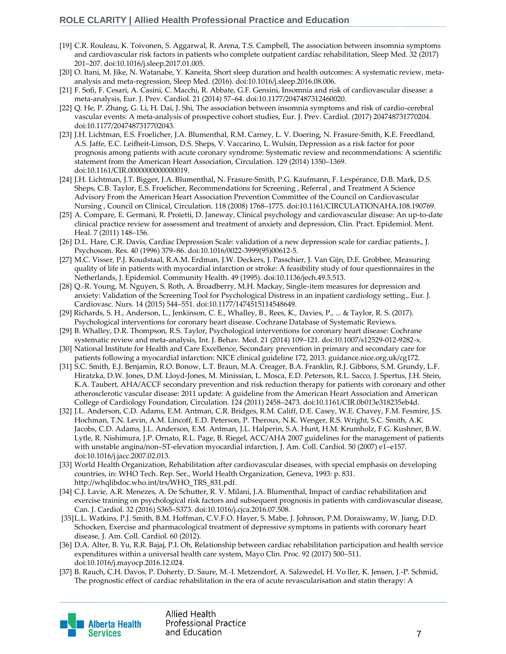- [19] C.R. Rouleau, K. Toivonen, S. Aggarwal, R. Arena, T.S. Campbell, The association between insomnia symptoms and cardiovascular risk factors in patients who complete outpatient cardiac rehabilitation, Sleep Med. 32 (2017) 201–207. doi:10.1016/j.sleep.2017.01.005.
- [20] O. Itani, M. Jike, N. Watanabe, Y. Kaneita, Short sleep duration and health outcomes: A systematic review, metaanalysis and meta-regression, Sleep Med. (2016). doi:10.1016/j.sleep.2016.08.006.
- [21] F. Sofi, F. Cesari, A. Casini, C. Macchi, R. Abbate, G.F. Gensini, Insomnia and risk of cardiovascular disease: a meta-analysis, Eur. J. Prev. Cardiol. 21 (2014) 57–64. doi:10.1177/2047487312460020.
- [22] Q. He, P. Zhang, G. Li, H. Dai, J. Shi, The association between insomnia symptoms and risk of cardio-cerebral vascular events: A meta-analysis of prospective cohort studies, Eur. J. Prev. Cardiol. (2017) 204748731770204. doi:10.1177/2047487317702043.
- [23] J.H. Lichtman, E.S. Froelicher, J.A. Blumenthal, R.M. Carney, L. V. Doering, N. Frasure-Smith, K.E. Freedland, A.S. Jaffe, E.C. Leifheit-Limson, D.S. Sheps, V. Vaccarino, L. Wulsin, Depression as a risk factor for poor prognosis among patients with acute coronary syndrome: Systematic review and recommendations: A scientific statement from the American Heart Association, Circulation. 129 (2014) 1350–1369. doi:10.1161/CIR.0000000000000019.
- [24] J.H. Lichtman, J.T. Bigger, J.A. Blumenthal, N. Frasure-Smith, P.G. Kaufmann, F. Lespérance, D.B. Mark, D.S. Sheps, C.B. Taylor, E.S. Froelicher, Recommendations for Screening , Referral , and Treatment A Science Advisory From the American Heart Association Prevention Committee of the Council on Cardiovascular Nursing , Council on Clinical, Circulation. 118 (2008) 1768–1775. doi:10.1161/CIRCULATIONAHA.108.190769.
- [25] A. Compare, E. Germani, R. Proietti, D. Janeway, Clinical psychology and cardiovascular disease: An up-to-date clinical practice review for assessment and treatment of anxiety and depression, Clin. Pract. Epidemiol. Ment. Heal. 7 (2011) 148–156.
- [26] D.L. Hare, C.R. Davis, Cardiac Depression Scale: validation of a new depression scale for cardiac patients., J. Psychosom. Res. 40 (1996) 379–86. doi:10.1016/0022-3999(95)00612-5.
- [27] M.C. Visser, P.J. Koudstaal, R.A.M. Erdman, J.W. Deckers, J. Passchier, J. Van Gijn, D.E. Grobbee, Measuring quality of life in patients with myocardial infarction or stroke: A feasibility study of four questionnaires in the Netherlands, J. Epidemiol. Community Health. 49 (1995). doi:10.1136/jech.49.5.513.
- [28] Q.-R. Young, M. Nguyen, S. Roth, A. Broadberry, M.H. Mackay, Single-item measures for depression and anxiety: Validation of the Screening Tool for Psychological Distress in an inpatient cardiology setting., Eur. J. Cardiovasc. Nurs. 14 (2015) 544–551. doi:10.1177/1474515114548649.
- [29] Richards, S. H., Anderson, L., Jenkinson, C. E., Whalley, B., Rees, K., Davies, P., ... & Taylor, R. S. (2017). Psychological interventions for coronary heart disease. Cochrane Database of Systematic Reviews.
- [29] B. Whalley, D.R. Thompson, R.S. Taylor, Psychological interventions for coronary heart disease: Cochrane systematic review and meta-analysis, Int. J. Behav. Med. 21 (2014) 109–121. doi:10.1007/s12529-012-9282-x.
- [30] National Institute for Health and Care Excellence, Secondary prevention in primary and secondary care for patients following a myocardial infarction: NICE clinical guideline 172, 2013. guidance.nice.org.uk/cg172.
- [31] S.C. Smith, E.J. Benjamin, R.O. Bonow, L.T. Braun, M.A. Creager, B.A. Franklin, R.J. Gibbons, S.M. Grundy, L.F. Hiratzka, D.W. Jones, D.M. Lloyd-Jones, M. Minissian, L. Mosca, E.D. Peterson, R.L. Sacco, J. Spertus, J.H. Stein, K.A. Taubert, AHA/ACCF secondary prevention and risk reduction therapy for patients with coronary and other atherosclerotic vascular disease: 2011 update: A guideline from the American Heart Association and American College of Cardiology Foundation, Circulation. 124 (2011) 2458–2473. doi:10.1161/CIR.0b013e318235eb4d.
- [32] J.L. Anderson, C.D. Adams, E.M. Antman, C.R. Bridges, R.M. Califf, D.E. Casey, W.E. Chavey, F.M. Fesmire, J.S. Hochman, T.N. Levin, A.M. Lincoff, E.D. Peterson, P. Theroux, N.K. Wenger, R.S. Wright, S.C. Smith, A.K. Jacobs, C.D. Adams, J.L. Anderson, E.M. Antman, J.L. Halperin, S.A. Hunt, H.M. Krumholz, F.G. Kushner, B.W. Lytle, R. Nishimura, J.P. Ornato, R.L. Page, B. Riegel, ACC/AHA 2007 guidelines for the management of patients with unstable angina/non–ST-elevation myocardial infarction, J. Am. Coll. Cardiol. 50 (2007) e1–e157. doi:10.1016/j.jacc.2007.02.013.
- [33] World Health Organization, Rehabilitation after cardiovascular diseases, with special emphasis on developing countries, in: WHO Tech. Rep. Ser., World Health Organization, Geneva, 1993: p. 831. http://whqlibdoc.who.int/trs/WHO\_TRS\_831.pdf.
- [34] C.J. Lavie, A.R. Menezes, A. De Schutter, R. V. Milani, J.A. Blumenthal, Impact of cardiac rehabilitation and exercise training on psychological risk factors and subsequent prognosis in patients with cardiovascular disease, Can. J. Cardiol. 32 (2016) S365–S373. doi:10.1016/j.cjca.2016.07.508.
- [35]L.L. Watkins, P.J. Smith, B.M. Hoffman, C.V.F.O. Hayer, S. Mabe, J. Johnson, P.M. Doraiswamy, W. Jiang, D.D. Schocken, Exercise and pharmacological treatment of depressive symptoms in patients with coronary heart disease, J. Am. Coll. Cardiol. 60 (2012).
- [36] D.A. Alter, B. Yu, R.R. Bajaj, P.I. Oh, Relationship between cardiac rehabilitation participation and health service expenditures within a universal health care system, Mayo Clin. Proc. 92 (2017) 500–511. doi:10.1016/j.mayocp.2016.12.024.
- [37] B. Rauch, C.H. Davos, P. Doherty, D. Saure, M.-I. Metzendorf, A. Salzwedel, H. Vo ller, K. Jensen, J.-P. Schmid, The prognostic effect of cardiac rehabilitation in the era of acute revascularisation and statin therapy: A